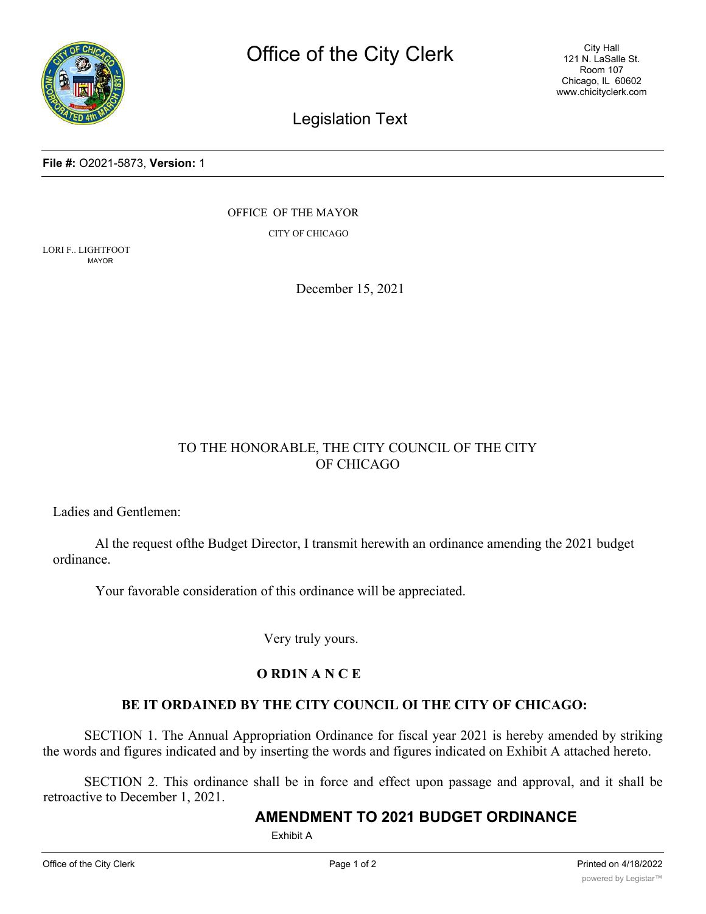

City Hall 121 N. LaSalle St. Room 107 Chicago, IL 60602 www.chicityclerk.com

# Legislation Text

#### **File #:** O2021-5873, **Version:** 1

OFFICE OF THE MAYOR

CITY OF CHICAGO

LORI F.. LIGHTFOOT MAYOR

December 15, 2021

### TO THE HONORABLE, THE CITY COUNCIL OF THE CITY OF CHICAGO

Ladies and Gentlemen:

Al the request ofthe Budget Director, I transmit herewith an ordinance amending the 2021 budget ordinance.

Your favorable consideration of this ordinance will be appreciated.

Very truly yours.

#### **O RD1N A N C E**

#### **BE IT ORDAINED BY THE CITY COUNCIL OI THE CITY OF CHICAGO:**

SECTION 1. The Annual Appropriation Ordinance for fiscal year 2021 is hereby amended by striking the words and figures indicated and by inserting the words and figures indicated on Exhibit A attached hereto.

SECTION 2. This ordinance shall be in force and effect upon passage and approval, and it shall be retroactive to December 1, 2021.

## **AMENDMENT TO 2021 BUDGET ORDINANCE**

Exhibit A